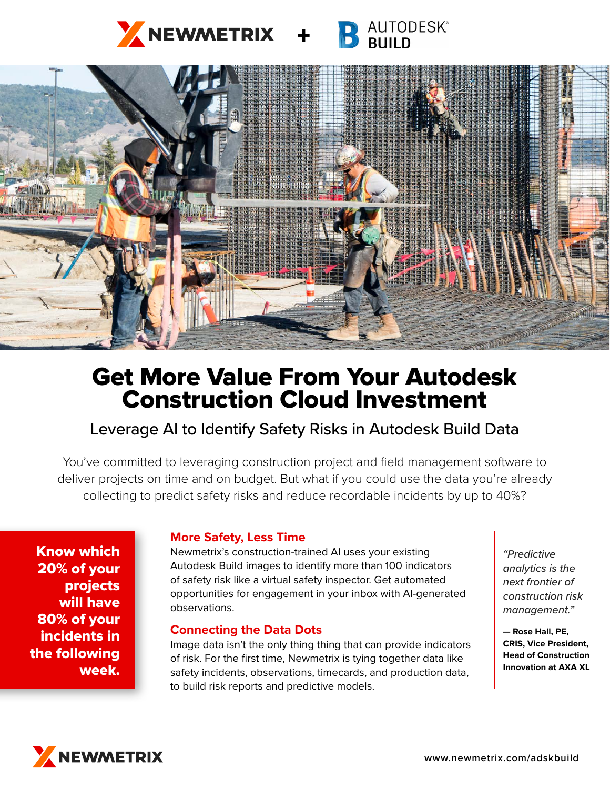



# Get More Value From Your Autodesk Construction Cloud Investment

# Leverage AI to Identify Safety Risks in Autodesk Build Data

You've committed to leveraging construction project and field management software to deliver projects on time and on budget. But what if you could use the data you're already collecting to predict safety risks and reduce recordable incidents by up to 40%?

Know which 20% of your projects will have 80% of your incidents in the following week.

## **More Safety, Less Time**

Newmetrix's construction-trained AI uses your existing Autodesk Build images to identify more than 100 indicators of safety risk like a virtual safety inspector. Get automated opportunities for engagement in your inbox with AI-generated observations.

### **Connecting the Data Dots**

Image data isn't the only thing thing that can provide indicators of risk. For the first time, Newmetrix is tying together data like safety incidents, observations, timecards, and production data, to build risk reports and predictive models.

*"Predictive analytics is the next frontier of construction risk management."*

**— Rose Hall, PE, CRIS, Vice President, Head of Construction Innovation at AXA XL**